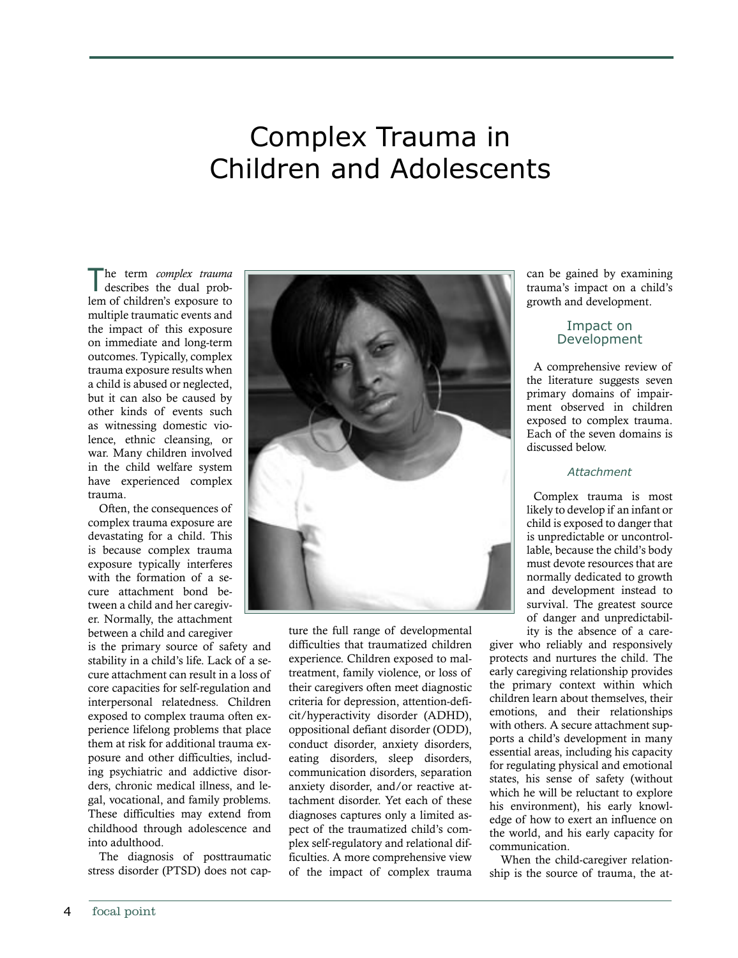# Complex Trauma in Children and Adolescents

The term *complex trauma* describes the dual problem of children's exposure to multiple traumatic events and the impact of this exposure on immediate and long-term outcomes. Typically, complex trauma exposure results when a child is abused or neglected, but it can also be caused by other kinds of events such as witnessing domestic violence, ethnic cleansing, or war. Many children involved in the child welfare system have experienced complex trauma.

 Often, the consequences of complex trauma exposure are devastating for a child. This is because complex trauma exposure typically interferes with the formation of a secure attachment bond between a child and her caregiver. Normally, the attachment

between a child and caregiver is the primary source of safety and stability in a child's life. Lack of a secure attachment can result in a loss of core capacities for self-regulation and interpersonal relatedness. Children exposed to complex trauma often experience lifelong problems that place them at risk for additional trauma exposure and other difficulties, including psychiatric and addictive disorders, chronic medical illness, and legal, vocational, and family problems. These difficulties may extend from childhood through adolescence and into adulthood.

 The diagnosis of posttraumatic stress disorder (PTSD) does not cap-



ture the full range of developmental difficulties that traumatized children experience. Children exposed to maltreatment, family violence, or loss of their caregivers often meet diagnostic criteria for depression, attention-deficit/hyperactivity disorder (ADHD), oppositional defiant disorder (ODD), conduct disorder, anxiety disorders, eating disorders, sleep disorders, communication disorders, separation anxiety disorder, and/or reactive attachment disorder. Yet each of these diagnoses captures only a limited aspect of the traumatized child's complex self-regulatory and relational difficulties. A more comprehensive view of the impact of complex trauma

can be gained by examining trauma's impact on a child's growth and development.

### Impact on Development

 A comprehensive review of the literature suggests seven primary domains of impairment observed in children exposed to complex trauma. Each of the seven domains is discussed below.

#### *Attachment*

 Complex trauma is most likely to develop if an infant or child is exposed to danger that is unpredictable or uncontrollable, because the child's body must devote resources that are normally dedicated to growth and development instead to survival. The greatest source of danger and unpredictability is the absence of a care-

giver who reliably and responsively protects and nurtures the child. The early caregiving relationship provides the primary context within which children learn about themselves, their emotions, and their relationships with others. A secure attachment supports a child's development in many essential areas, including his capacity for regulating physical and emotional states, his sense of safety (without which he will be reluctant to explore his environment), his early knowledge of how to exert an influence on the world, and his early capacity for communication.

 When the child-caregiver relationship is the source of trauma, the at-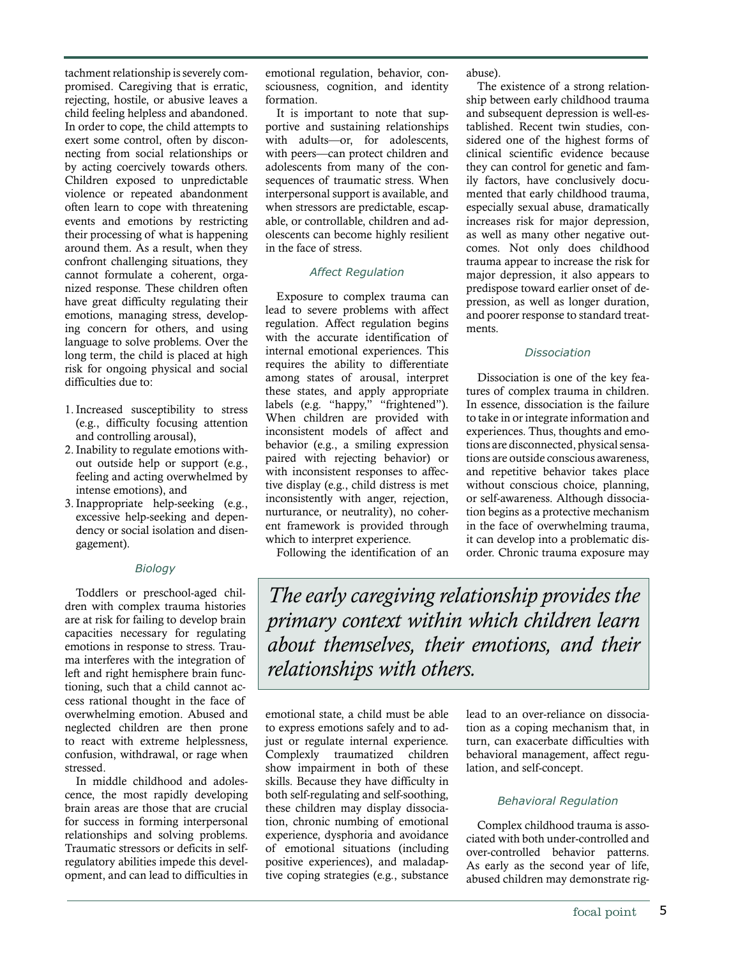tachment relationship is severely compromised. Caregiving that is erratic, rejecting, hostile, or abusive leaves a child feeling helpless and abandoned. In order to cope, the child attempts to exert some control, often by disconnecting from social relationships or by acting coercively towards others. Children exposed to unpredictable violence or repeated abandonment often learn to cope with threatening events and emotions by restricting their processing of what is happening around them. As a result, when they confront challenging situations, they cannot formulate a coherent, organized response. These children often have great difficulty regulating their emotions, managing stress, developing concern for others, and using language to solve problems. Over the long term, the child is placed at high risk for ongoing physical and social difficulties due to:

- 1. Increased susceptibility to stress (e.g., difficulty focusing attention and controlling arousal),
- 2. Inability to regulate emotions without outside help or support (e.g., feeling and acting overwhelmed by intense emotions), and
- 3. Inappropriate help-seeking (e.g., excessive help-seeking and dependency or social isolation and disengagement).

#### *Biology*

 Toddlers or preschool-aged children with complex trauma histories are at risk for failing to develop brain capacities necessary for regulating emotions in response to stress. Trauma interferes with the integration of left and right hemisphere brain functioning, such that a child cannot access rational thought in the face of overwhelming emotion. Abused and neglected children are then prone to react with extreme helplessness, confusion, withdrawal, or rage when stressed.

 In middle childhood and adolescence, the most rapidly developing brain areas are those that are crucial for success in forming interpersonal relationships and solving problems. Traumatic stressors or deficits in selfregulatory abilities impede this development, and can lead to difficulties in emotional regulation, behavior, consciousness, cognition, and identity formation.

 It is important to note that supportive and sustaining relationships with adults—or, for adolescents, with peers—can protect children and adolescents from many of the consequences of traumatic stress. When interpersonal support is available, and when stressors are predictable, escapable, or controllable, children and adolescents can become highly resilient in the face of stress.

# *Affect Regulation*

 Exposure to complex trauma can lead to severe problems with affect regulation. Affect regulation begins with the accurate identification of internal emotional experiences. This requires the ability to differentiate among states of arousal, interpret these states, and apply appropriate labels (e.g. "happy," "frightened"). When children are provided with inconsistent models of affect and behavior (e.g., a smiling expression paired with rejecting behavior) or with inconsistent responses to affective display (e.g., child distress is met inconsistently with anger, rejection, nurturance, or neutrality), no coherent framework is provided through which to interpret experience.

Following the identification of an

abuse).

 The existence of a strong relationship between early childhood trauma and subsequent depression is well-established. Recent twin studies, considered one of the highest forms of clinical scientific evidence because they can control for genetic and family factors, have conclusively documented that early childhood trauma, especially sexual abuse, dramatically increases risk for major depression, as well as many other negative outcomes. Not only does childhood trauma appear to increase the risk for major depression, it also appears to predispose toward earlier onset of depression, as well as longer duration, and poorer response to standard treatments.

## *Dissociation*

 Dissociation is one of the key features of complex trauma in children. In essence, dissociation is the failure to take in or integrate information and experiences. Thus, thoughts and emotions are disconnected, physical sensations are outside conscious awareness, and repetitive behavior takes place without conscious choice, planning, or self-awareness. Although dissociation begins as a protective mechanism in the face of overwhelming trauma, it can develop into a problematic disorder. Chronic trauma exposure may

*The early caregiving relationship provides the primary context within which children learn about themselves, their emotions, and their relationships with others.* 

emotional state, a child must be able to express emotions safely and to adjust or regulate internal experience. Complexly traumatized children show impairment in both of these skills. Because they have difficulty in both self-regulating and self-soothing, these children may display dissociation, chronic numbing of emotional experience, dysphoria and avoidance of emotional situations (including positive experiences), and maladaptive coping strategies (e.g., substance

lead to an over-reliance on dissociation as a coping mechanism that, in turn, can exacerbate difficulties with behavioral management, affect regulation, and self-concept.

## *Behavioral Regulation*

 Complex childhood trauma is associated with both under-controlled and over-controlled behavior patterns. As early as the second year of life, abused children may demonstrate rig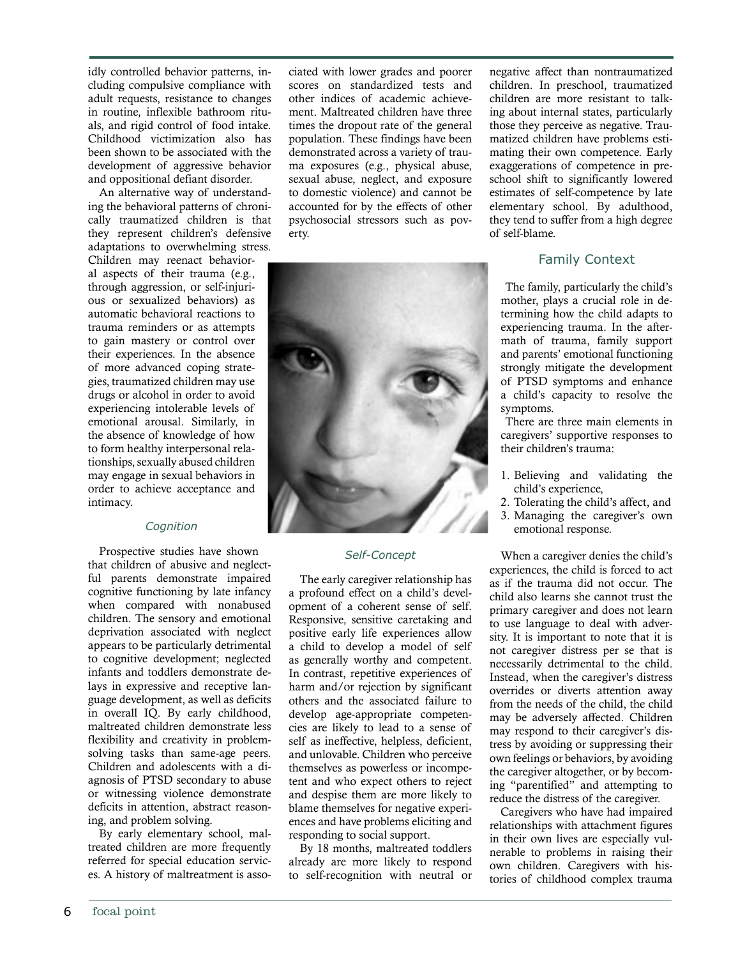idly controlled behavior patterns, including compulsive compliance with adult requests, resistance to changes in routine, inflexible bathroom rituals, and rigid control of food intake. Childhood victimization also has been shown to be associated with the development of aggressive behavior and oppositional defiant disorder.

 An alternative way of understanding the behavioral patterns of chronically traumatized children is that they represent children's defensive adaptations to overwhelming stress.

Children may reenact behavioral aspects of their trauma (e.g., through aggression, or self-injurious or sexualized behaviors) as automatic behavioral reactions to trauma reminders or as attempts to gain mastery or control over their experiences. In the absence of more advanced coping strategies, traumatized children may use drugs or alcohol in order to avoid experiencing intolerable levels of emotional arousal. Similarly, in the absence of knowledge of how to form healthy interpersonal relationships, sexually abused children may engage in sexual behaviors in order to achieve acceptance and intimacy.

#### *Cognition*

 Prospective studies have shown that children of abusive and neglectful parents demonstrate impaired cognitive functioning by late infancy when compared with nonabused children. The sensory and emotional deprivation associated with neglect appears to be particularly detrimental to cognitive development; neglected infants and toddlers demonstrate delays in expressive and receptive language development, as well as deficits in overall IQ. By early childhood, maltreated children demonstrate less flexibility and creativity in problemsolving tasks than same-age peers. Children and adolescents with a diagnosis of PTSD secondary to abuse or witnessing violence demonstrate deficits in attention, abstract reasoning, and problem solving.

 By early elementary school, maltreated children are more frequently referred for special education services. A history of maltreatment is asso-

ciated with lower grades and poorer scores on standardized tests and other indices of academic achievement. Maltreated children have three times the dropout rate of the general population. These findings have been demonstrated across a variety of trauma exposures (e.g., physical abuse, sexual abuse, neglect, and exposure to domestic violence) and cannot be accounted for by the effects of other psychosocial stressors such as poverty.



#### *Self-Concept*

 The early caregiver relationship has a profound effect on a child's development of a coherent sense of self. Responsive, sensitive caretaking and positive early life experiences allow a child to develop a model of self as generally worthy and competent. In contrast, repetitive experiences of harm and/or rejection by significant others and the associated failure to develop age-appropriate competencies are likely to lead to a sense of self as ineffective, helpless, deficient, and unlovable. Children who perceive themselves as powerless or incompetent and who expect others to reject and despise them are more likely to blame themselves for negative experiences and have problems eliciting and responding to social support.

 By 18 months, maltreated toddlers already are more likely to respond to self-recognition with neutral or negative affect than nontraumatized children. In preschool, traumatized children are more resistant to talking about internal states, particularly those they perceive as negative. Traumatized children have problems estimating their own competence. Early exaggerations of competence in preschool shift to significantly lowered estimates of self-competence by late elementary school. By adulthood, they tend to suffer from a high degree of self-blame.

# Family Context

 The family, particularly the child's mother, plays a crucial role in determining how the child adapts to experiencing trauma. In the aftermath of trauma, family support and parents' emotional functioning strongly mitigate the development of PTSD symptoms and enhance a child's capacity to resolve the symptoms.

 There are three main elements in caregivers' supportive responses to their children's trauma:

- 1. Believing and validating the child's experience,
- 2. Tolerating the child's affect, and
- 3. Managing the caregiver's own emotional response.

 When a caregiver denies the child's experiences, the child is forced to act as if the trauma did not occur. The child also learns she cannot trust the primary caregiver and does not learn to use language to deal with adversity. It is important to note that it is not caregiver distress per se that is necessarily detrimental to the child. Instead, when the caregiver's distress overrides or diverts attention away from the needs of the child, the child may be adversely affected. Children may respond to their caregiver's distress by avoiding or suppressing their own feelings or behaviors, by avoiding the caregiver altogether, or by becoming "parentified" and attempting to reduce the distress of the caregiver.

 Caregivers who have had impaired relationships with attachment figures in their own lives are especially vulnerable to problems in raising their own children. Caregivers with histories of childhood complex trauma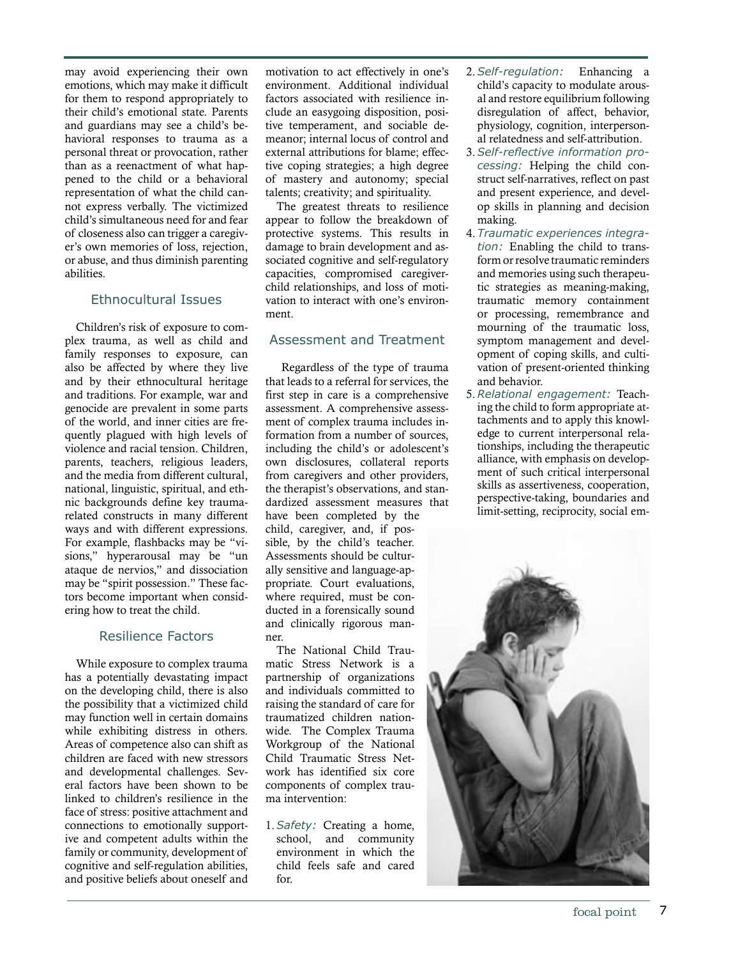may avoid experiencing their own emotions, which may make it difficult for them to respond appropriately to their child's emotional state. Parents and guardians may see a child's behavioral responses to trauma as a personal threat or provocation, rather than as a reenactment of what happened to the child or a behavioral representation of what the child cannot express verbally. The victimized child's simultaneous need for and fear of closeness also can trigger a caregiver's own memories of loss, rejection, or abuse, and thus diminish parenting abilities.

# Ethnocultural Issues

 Children's risk of exposure to complex trauma, as well as child and family responses to exposure, can also be affected by where they live and by their ethnocultural heritage and traditions. For example, war and genocide are prevalent in some parts of the world, and inner cities are frequently plagued with high levels of violence and racial tension. Children, parents, teachers, religious leaders, and the media from different cultural, national, linguistic, spiritual, and ethnic backgrounds define key traumarelated constructs in many different ways and with different expressions. For example, flashbacks may be "visions," hyperarousal may be "un ataque de nervios," and dissociation may be "spirit possession." These factors become important when considering how to treat the child.

#### Resilience Factors

 While exposure to complex trauma has a potentially devastating impact on the developing child, there is also the possibility that a victimized child may function well in certain domains while exhibiting distress in others. Areas of competence also can shift as children are faced with new stressors and developmental challenges. Several factors have been shown to be linked to children's resilience in the face of stress: positive attachment and connections to emotionally supportive and competent adults within the family or community, development of cognitive and self-regulation abilities, and positive beliefs about oneself and motivation to act effectively in one's environment. Additional individual factors associated with resilience include an easygoing disposition, positive temperament, and sociable demeanor; internal locus of control and external attributions for blame; effective coping strategies; a high degree of mastery and autonomy; special talents; creativity; and spirituality.

 The greatest threats to resilience appear to follow the breakdown of protective systems. This results in damage to brain development and associated cognitive and self-regulatory capacities, compromised caregiverchild relationships, and loss of motivation to interact with one's environment.

# Assessment and Treatment

 Regardless of the type of trauma that leads to a referral for services, the first step in care is a comprehensive assessment. A comprehensive assessment of complex trauma includes information from a number of sources, including the child's or adolescent's own disclosures, collateral reports from caregivers and other providers, the therapist's observations, and standardized assessment measures that have been completed by the child, caregiver, and, if possible, by the child's teacher. Assessments should be culturally sensitive and language-appropriate. Court evaluations, where required, must be conducted in a forensically sound and clinically rigorous manner.

 The National Child Traumatic Stress Network is a partnership of organizations and individuals committed to raising the standard of care for traumatized children nationwide. The Complex Trauma Workgroup of the National Child Traumatic Stress Network has identified six core components of complex trauma intervention:

1. *Safety:* Creating a home, school, and community environment in which the child feels safe and cared for.

- 2. *Self-regulation:* Enhancing a child's capacity to modulate arousal and restore equilibrium following disregulation of affect, behavior, physiology, cognition, interpersonal relatedness and self-attribution.
- 3. *Self-reflective information processing:* Helping the child construct self-narratives, reflect on past and present experience, and develop skills in planning and decision making.
- 4. *Traumatic experiences integration:* Enabling the child to transform or resolve traumatic reminders and memories using such therapeutic strategies as meaning-making, traumatic memory containment or processing, remembrance and mourning of the traumatic loss, symptom management and development of coping skills, and cultivation of present-oriented thinking and behavior.
- 5. *Relational engagement:* Teaching the child to form appropriate attachments and to apply this knowledge to current interpersonal relationships, including the therapeutic alliance, with emphasis on development of such critical interpersonal skills as assertiveness, cooperation, perspective-taking, boundaries and limit-setting, reciprocity, social em-